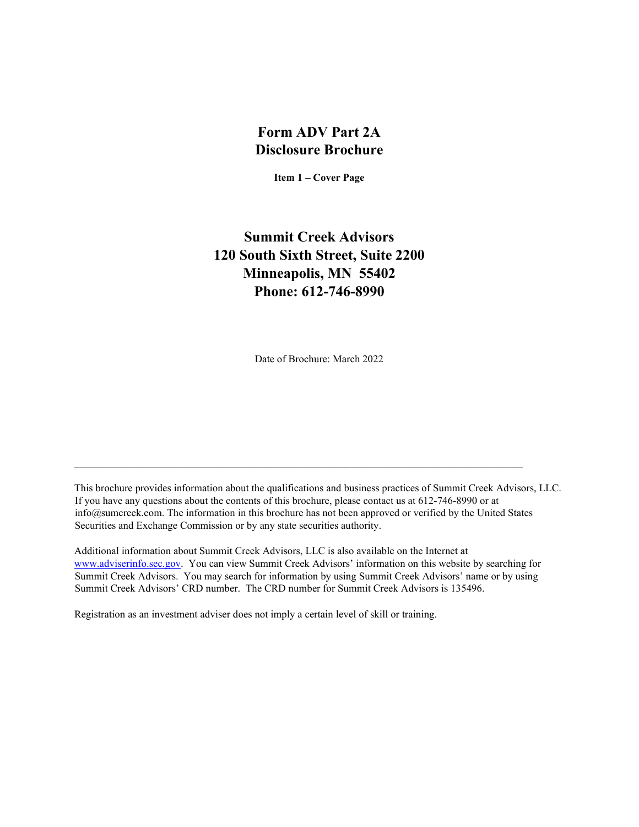# **Form ADV Part 2A Disclosure Brochure**

**Item 1 – Cover Page** 

# <span id="page-0-0"></span>**Summit Creek Advisors 120 South Sixth Street, Suite 2200 Minneapolis, MN 55402 Phone: 612-746-8990**

Date of Brochure: March 2022

This brochure provides information about the qualifications and business practices of Summit Creek Advisors, LLC. If you have any questions about the contents of this brochure, please contact us at 612-746-8990 or at info@sumcreek.com. The information in this brochure has not been approved or verified by the United States Securities and Exchange Commission or by any state securities authority.

 $\mathcal{L}_\mathcal{L} = \{ \mathcal{L}_\mathcal{L} = \{ \mathcal{L}_\mathcal{L} = \{ \mathcal{L}_\mathcal{L} = \{ \mathcal{L}_\mathcal{L} = \{ \mathcal{L}_\mathcal{L} = \{ \mathcal{L}_\mathcal{L} = \{ \mathcal{L}_\mathcal{L} = \{ \mathcal{L}_\mathcal{L} = \{ \mathcal{L}_\mathcal{L} = \{ \mathcal{L}_\mathcal{L} = \{ \mathcal{L}_\mathcal{L} = \{ \mathcal{L}_\mathcal{L} = \{ \mathcal{L}_\mathcal{L} = \{ \mathcal{L}_\mathcal{$ 

Additional information about Summit Creek Advisors, LLC is also available on the Internet at [www.adviserinfo.sec.gov.](http://www.adviserinfo.sec.gov/) You can view Summit Creek Advisors' information on this website by searching for Summit Creek Advisors. You may search for information by using Summit Creek Advisors' name or by using Summit Creek Advisors' CRD number. The CRD number for Summit Creek Advisors is 135496.

Registration as an investment adviser does not imply a certain level of skill or training.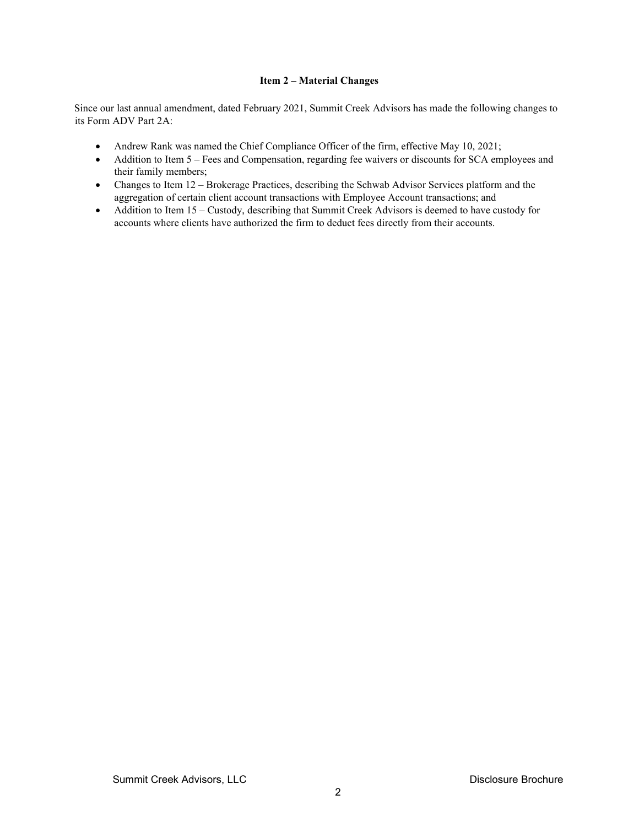# **Item 2 – Material Changes**

<span id="page-1-0"></span>Since our last annual amendment, dated February 2021, Summit Creek Advisors has made the following changes to its Form ADV Part 2A:

- Andrew Rank was named the Chief Compliance Officer of the firm, effective May 10, 2021;
- Addition to Item 5 Fees and Compensation, regarding fee waivers or discounts for SCA employees and their family members;
- Changes to Item 12 Brokerage Practices, describing the Schwab Advisor Services platform and the aggregation of certain client account transactions with Employee Account transactions; and
- Addition to Item 15 Custody, describing that Summit Creek Advisors is deemed to have custody for accounts where clients have authorized the firm to deduct fees directly from their accounts.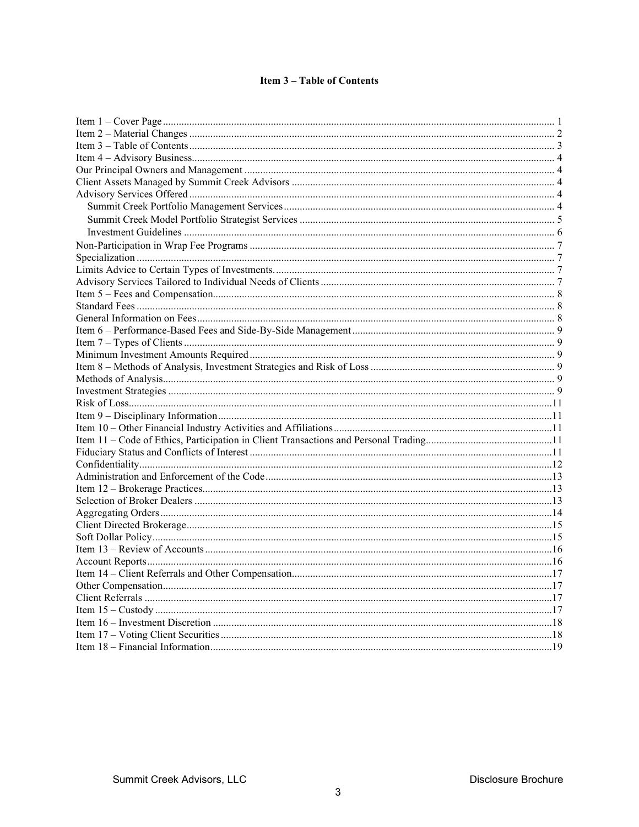# **Item 3-Table of Contents**

<span id="page-2-0"></span>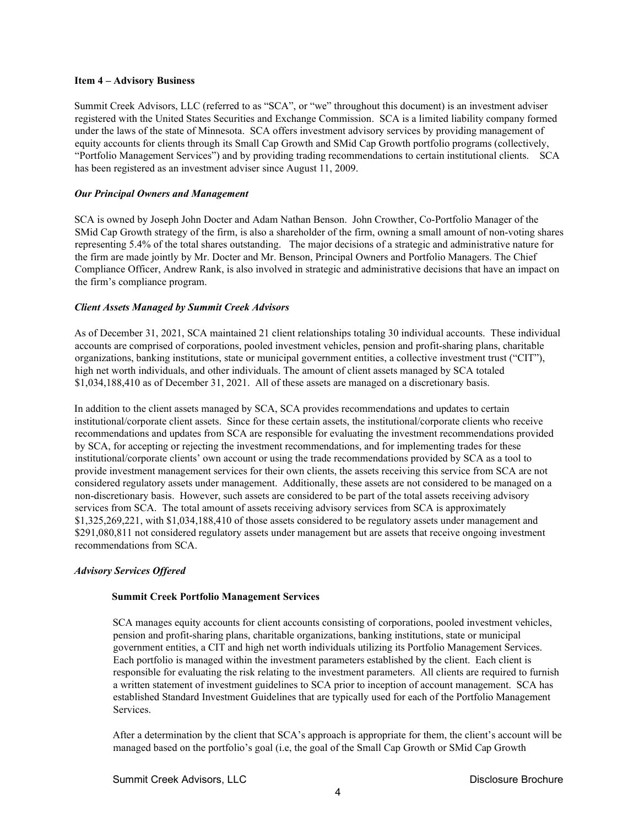## <span id="page-3-0"></span>**Item 4 – Advisory Business**

Summit Creek Advisors, LLC (referred to as "SCA", or "we" throughout this document) is an investment adviser registered with the United States Securities and Exchange Commission. SCA is a limited liability company formed under the laws of the state of Minnesota. SCA offers investment advisory services by providing management of equity accounts for clients through its Small Cap Growth and SMid Cap Growth portfolio programs (collectively, "Portfolio Management Services") and by providing trading recommendations to certain institutional clients. SCA has been registered as an investment adviser since August 11, 2009.

## <span id="page-3-1"></span>*Our Principal Owners and Management*

SCA is owned by Joseph John Docter and Adam Nathan Benson. John Crowther, Co-Portfolio Manager of the SMid Cap Growth strategy of the firm, is also a shareholder of the firm, owning a small amount of non-voting shares representing 5.4% of the total shares outstanding. The major decisions of a strategic and administrative nature for the firm are made jointly by Mr. Docter and Mr. Benson, Principal Owners and Portfolio Managers. The Chief Compliance Officer, Andrew Rank, is also involved in strategic and administrative decisions that have an impact on the firm's compliance program.

# <span id="page-3-2"></span>*Client Assets Managed by Summit Creek Advisors*

As of December 31, 2021, SCA maintained 21 client relationships totaling 30 individual accounts. These individual accounts are comprised of corporations, pooled investment vehicles, pension and profit-sharing plans, charitable organizations, banking institutions, state or municipal government entities, a collective investment trust ("CIT"), high net worth individuals, and other individuals. The amount of client assets managed by SCA totaled \$1,034,188,410 as of December 31, 2021. All of these assets are managed on a discretionary basis.

In addition to the client assets managed by SCA, SCA provides recommendations and updates to certain institutional/corporate client assets. Since for these certain assets, the institutional/corporate clients who receive recommendations and updates from SCA are responsible for evaluating the investment recommendations provided by SCA, for accepting or rejecting the investment recommendations, and for implementing trades for these institutional/corporate clients' own account or using the trade recommendations provided by SCA as a tool to provide investment management services for their own clients, the assets receiving this service from SCA are not considered regulatory assets under management. Additionally, these assets are not considered to be managed on a non-discretionary basis. However, such assets are considered to be part of the total assets receiving advisory services from SCA. The total amount of assets receiving advisory services from SCA is approximately \$1,325,269,221, with \$1,034,188,410 of those assets considered to be regulatory assets under management and \$291,080,811 not considered regulatory assets under management but are assets that receive ongoing investment recommendations from SCA.

# <span id="page-3-4"></span><span id="page-3-3"></span>*Advisory Services Offered*

# **Summit Creek Portfolio Management Services**

SCA manages equity accounts for client accounts consisting of corporations, pooled investment vehicles, pension and profit-sharing plans, charitable organizations, banking institutions, state or municipal government entities, a CIT and high net worth individuals utilizing its Portfolio Management Services. Each portfolio is managed within the investment parameters established by the client. Each client is responsible for evaluating the risk relating to the investment parameters. All clients are required to furnish a written statement of investment guidelines to SCA prior to inception of account management. SCA has established Standard Investment Guidelines that are typically used for each of the Portfolio Management Services.

After a determination by the client that SCA's approach is appropriate for them, the client's account will be managed based on the portfolio's goal (i.e, the goal of the Small Cap Growth or SMid Cap Growth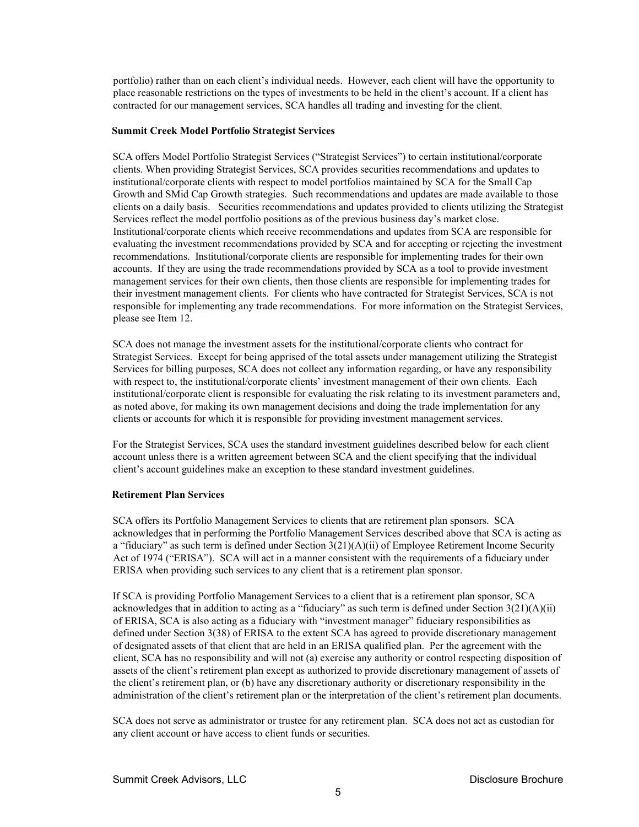portfolio) rather than on each client's individual needs. However, each client will have the opportunity to place reasonable restrictions on the types of investments to be held in the client's account. If a client has contracted for our management services, SCA handles all trading and investing for the client.

## <span id="page-4-0"></span>**Summit Creek Model Portfolio Strategist Services**

SCA offers Model Portfolio Strategist Services ("Strategist Services") to certain institutional/corporate clients. When providing Strategist Services, SCA provides securities recommendations and updates to institutional/corporate clients with respect to model portfolios maintained by SCA for the Small Cap Growth and SMid Cap Growth strategies. Such recommendations and updates are made available to those clients on a daily basis. Securities recommendations and updates provided to clients utilizing the Strategist Services reflect the model portfolio positions as of the previous business day's market close. Institutional/corporate clients which receive recommendations and updates from SCA are responsible for evaluating the investment recommendations provided by SCA and for accepting or rejecting the investment recommendations. Institutional/corporate clients are responsible for implementing trades for their own accounts. If they are using the trade recommendations provided by SCA as a tool to provide investment management services for their own clients, then those clients are responsible for implementing trades for their investment management clients. For clients who have contracted for Strategist Services, SCA is not responsible for implementing any trade recommendations. For more information on the Strategist Services, please see Item 12.

SCA does not manage the investment assets for the institutional/corporate clients who contract for Strategist Services. Except for being apprised of the total assets under management utilizing the Strategist Services for billing purposes, SCA does not collect any information regarding, or have any responsibility with respect to, the institutional/corporate clients' investment management of their own clients. Each institutional/corporate client is responsible for evaluating the risk relating to its investment parameters and, as noted above, for making its own management decisions and doing the trade implementation for any clients or accounts for which it is responsible for providing investment management services.

For the Strategist Services, SCA uses the standard investment guidelines described below for each client account unless there is a written agreement between SCA and the client specifying that the individual client's account guidelines make an exception to these standard investment guidelines.

# **Retirement Plan Services**

SCA offers its Portfolio Management Services to clients that are retirement plan sponsors. SCA acknowledges that in performing the Portfolio Management Services described above that SCA is acting as a "fiduciary" as such term is defined under Section 3(21)(A)(ii) of Employee Retirement Income Security Act of 1974 ("ERISA"). SCA will act in a manner consistent with the requirements of a fiduciary under ERISA when providing such services to any client that is a retirement plan sponsor.

If SCA is providing Portfolio Management Services to a client that is a retirement plan sponsor, SCA acknowledges that in addition to acting as a "fiduciary" as such term is defined under Section 3(21)(A)(ii) of ERISA, SCA is also acting as a fiduciary with "investment manager" fiduciary responsibilities as defined under Section 3(38) of ERISA to the extent SCA has agreed to provide discretionary management of designated assets of that client that are held in an ERISA qualified plan. Per the agreement with the client, SCA has no responsibility and will not (a) exercise any authority or control respecting disposition of assets of the client's retirement plan except as authorized to provide discretionary management of assets of the client's retirement plan, or (b) have any discretionary authority or discretionary responsibility in the administration of the client's retirement plan or the interpretation of the client's retirement plan documents.

SCA does not serve as administrator or trustee for any retirement plan. SCA does not act as custodian for any client account or have access to client funds or securities.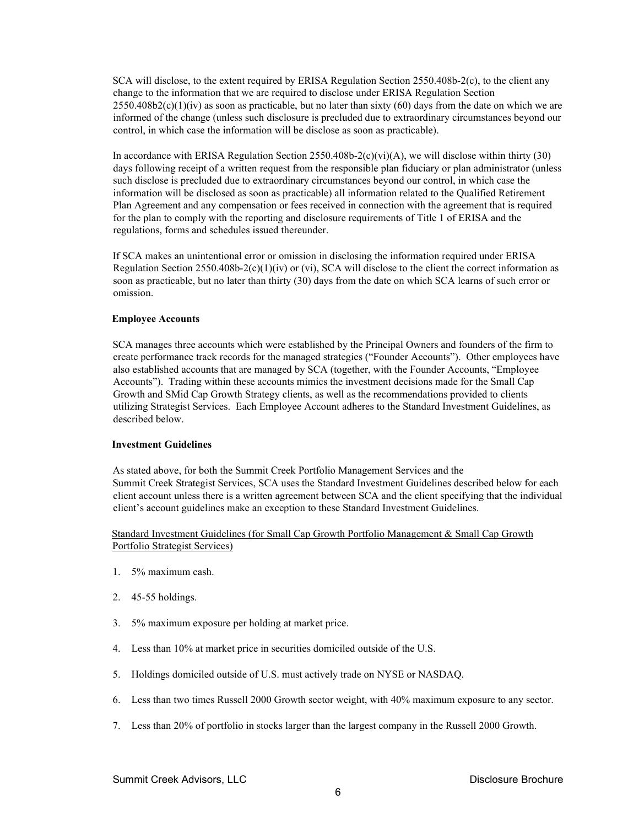SCA will disclose, to the extent required by ERISA Regulation Section 2550.408b-2(c), to the client any change to the information that we are required to disclose under ERISA Regulation Section  $2550.408b2(c)(1)(iv)$  as soon as practicable, but no later than sixty (60) days from the date on which we are informed of the change (unless such disclosure is precluded due to extraordinary circumstances beyond our control, in which case the information will be disclose as soon as practicable).

In accordance with ERISA Regulation Section 2550.408b-2(c)(vi)(A), we will disclose within thirty (30) days following receipt of a written request from the responsible plan fiduciary or plan administrator (unless such disclose is precluded due to extraordinary circumstances beyond our control, in which case the information will be disclosed as soon as practicable) all information related to the Qualified Retirement Plan Agreement and any compensation or fees received in connection with the agreement that is required for the plan to comply with the reporting and disclosure requirements of Title 1 of ERISA and the regulations, forms and schedules issued thereunder.

If SCA makes an unintentional error or omission in disclosing the information required under ERISA Regulation Section 2550.408b-2(c)(1)(iv) or (vi), SCA will disclose to the client the correct information as soon as practicable, but no later than thirty (30) days from the date on which SCA learns of such error or omission.

## **Employee Accounts**

SCA manages three accounts which were established by the Principal Owners and founders of the firm to create performance track records for the managed strategies ("Founder Accounts"). Other employees have also established accounts that are managed by SCA (together, with the Founder Accounts, "Employee Accounts"). Trading within these accounts mimics the investment decisions made for the Small Cap Growth and SMid Cap Growth Strategy clients, as well as the recommendations provided to clients utilizing Strategist Services. Each Employee Account adheres to the Standard Investment Guidelines, as described below.

## <span id="page-5-0"></span>**Investment Guidelines**

As stated above, for both the Summit Creek Portfolio Management Services and the Summit Creek Strategist Services, SCA uses the Standard Investment Guidelines described below for each client account unless there is a written agreement between SCA and the client specifying that the individual client's account guidelines make an exception to these Standard Investment Guidelines.

Standard Investment Guidelines (for Small Cap Growth Portfolio Management & Small Cap Growth Portfolio Strategist Services)

- 1. 5% maximum cash.
- 2. 45-55 holdings.
- 3. 5% maximum exposure per holding at market price.
- 4. Less than 10% at market price in securities domiciled outside of the U.S.
- 5. Holdings domiciled outside of U.S. must actively trade on NYSE or NASDAQ.
- 6. Less than two times Russell 2000 Growth sector weight, with 40% maximum exposure to any sector.
- 7. Less than 20% of portfolio in stocks larger than the largest company in the Russell 2000 Growth.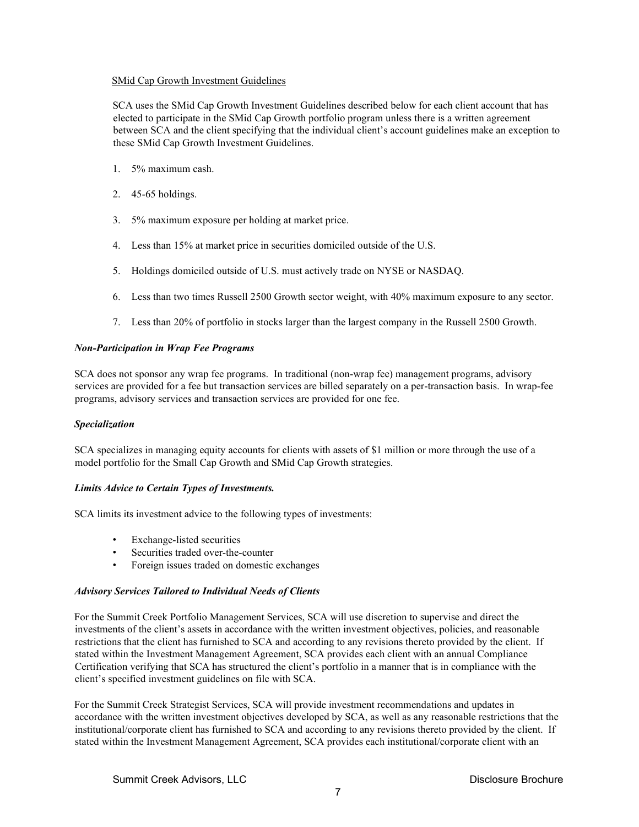# SMid Cap Growth Investment Guidelines

SCA uses the SMid Cap Growth Investment Guidelines described below for each client account that has elected to participate in the SMid Cap Growth portfolio program unless there is a written agreement between SCA and the client specifying that the individual client's account guidelines make an exception to these SMid Cap Growth Investment Guidelines.

- 1. 5% maximum cash.
- 2. 45-65 holdings.
- 3. 5% maximum exposure per holding at market price.
- 4. Less than 15% at market price in securities domiciled outside of the U.S.
- 5. Holdings domiciled outside of U.S. must actively trade on NYSE or NASDAQ.
- 6. Less than two times Russell 2500 Growth sector weight, with 40% maximum exposure to any sector.
- 7. Less than 20% of portfolio in stocks larger than the largest company in the Russell 2500 Growth.

# <span id="page-6-0"></span>*Non-Participation in Wrap Fee Programs*

SCA does not sponsor any wrap fee programs. In traditional (non-wrap fee) management programs, advisory services are provided for a fee but transaction services are billed separately on a per-transaction basis. In wrap-fee programs, advisory services and transaction services are provided for one fee.

# <span id="page-6-1"></span>*Specialization*

SCA specializes in managing equity accounts for clients with assets of \$1 million or more through the use of a model portfolio for the Small Cap Growth and SMid Cap Growth strategies.

# <span id="page-6-2"></span>*Limits Advice to Certain Types of Investments.*

SCA limits its investment advice to the following types of investments:

- Exchange-listed securities
- Securities traded over-the-counter
- Foreign issues traded on domestic exchanges

# <span id="page-6-3"></span>*Advisory Services Tailored to Individual Needs of Clients*

For the Summit Creek Portfolio Management Services, SCA will use discretion to supervise and direct the investments of the client's assets in accordance with the written investment objectives, policies, and reasonable restrictions that the client has furnished to SCA and according to any revisions thereto provided by the client. If stated within the Investment Management Agreement, SCA provides each client with an annual Compliance Certification verifying that SCA has structured the client's portfolio in a manner that is in compliance with the client's specified investment guidelines on file with SCA.

For the Summit Creek Strategist Services, SCA will provide investment recommendations and updates in accordance with the written investment objectives developed by SCA, as well as any reasonable restrictions that the institutional/corporate client has furnished to SCA and according to any revisions thereto provided by the client. If stated within the Investment Management Agreement, SCA provides each institutional/corporate client with an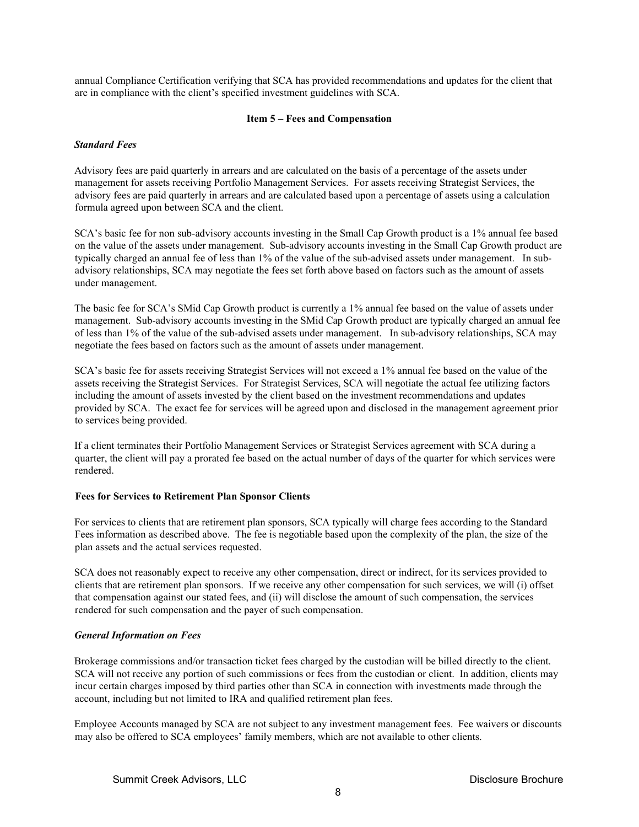annual Compliance Certification verifying that SCA has provided recommendations and updates for the client that are in compliance with the client's specified investment guidelines with SCA.

## **Item 5 – Fees and Compensation**

## <span id="page-7-1"></span><span id="page-7-0"></span>*Standard Fees*

Advisory fees are paid quarterly in arrears and are calculated on the basis of a percentage of the assets under management for assets receiving Portfolio Management Services. For assets receiving Strategist Services, the advisory fees are paid quarterly in arrears and are calculated based upon a percentage of assets using a calculation formula agreed upon between SCA and the client.

SCA's basic fee for non sub-advisory accounts investing in the Small Cap Growth product is a 1% annual fee based on the value of the assets under management. Sub-advisory accounts investing in the Small Cap Growth product are typically charged an annual fee of less than 1% of the value of the sub-advised assets under management. In subadvisory relationships, SCA may negotiate the fees set forth above based on factors such as the amount of assets under management.

The basic fee for SCA's SMid Cap Growth product is currently a 1% annual fee based on the value of assets under management. Sub-advisory accounts investing in the SMid Cap Growth product are typically charged an annual fee of less than 1% of the value of the sub-advised assets under management. In sub-advisory relationships, SCA may negotiate the fees based on factors such as the amount of assets under management.

SCA's basic fee for assets receiving Strategist Services will not exceed a 1% annual fee based on the value of the assets receiving the Strategist Services. For Strategist Services, SCA will negotiate the actual fee utilizing factors including the amount of assets invested by the client based on the investment recommendations and updates provided by SCA. The exact fee for services will be agreed upon and disclosed in the management agreement prior to services being provided.

If a client terminates their Portfolio Management Services or Strategist Services agreement with SCA during a quarter, the client will pay a prorated fee based on the actual number of days of the quarter for which services were rendered.

# **Fees for Services to Retirement Plan Sponsor Clients**

For services to clients that are retirement plan sponsors, SCA typically will charge fees according to the Standard Fees information as described above. The fee is negotiable based upon the complexity of the plan, the size of the plan assets and the actual services requested.

SCA does not reasonably expect to receive any other compensation, direct or indirect, for its services provided to clients that are retirement plan sponsors. If we receive any other compensation for such services, we will (i) offset that compensation against our stated fees, and (ii) will disclose the amount of such compensation, the services rendered for such compensation and the payer of such compensation.

# <span id="page-7-2"></span>*General Information on Fees*

Brokerage commissions and/or transaction ticket fees charged by the custodian will be billed directly to the client. SCA will not receive any portion of such commissions or fees from the custodian or client. In addition, clients may incur certain charges imposed by third parties other than SCA in connection with investments made through the account, including but not limited to IRA and qualified retirement plan fees.

Employee Accounts managed by SCA are not subject to any investment management fees. Fee waivers or discounts may also be offered to SCA employees' family members, which are not available to other clients.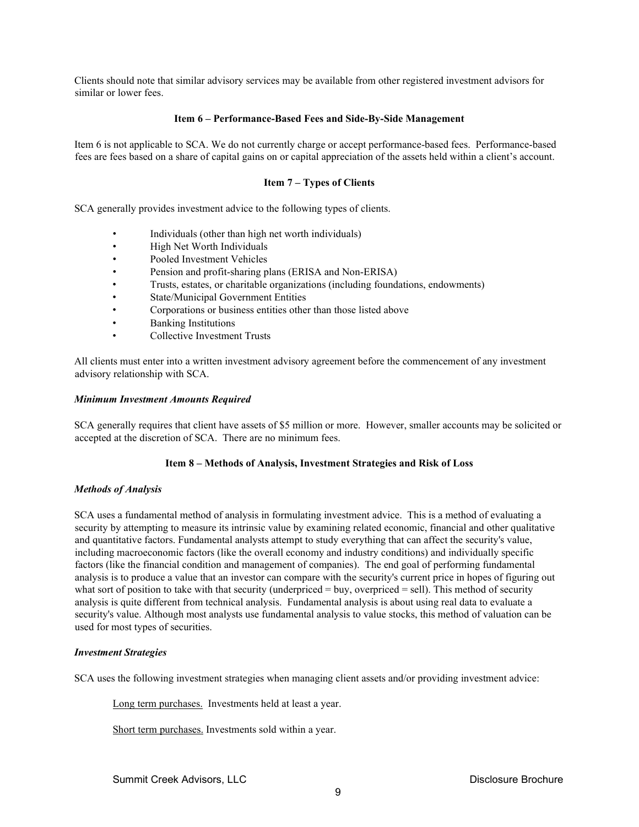Clients should note that similar advisory services may be available from other registered investment advisors for similar or lower fees.

## **Item 6 – Performance-Based Fees and Side-By-Side Management**

<span id="page-8-0"></span>Item 6 is not applicable to SCA. We do not currently charge or accept performance-based fees. Performance-based fees are fees based on a share of capital gains on or capital appreciation of the assets held within a client's account.

# **Item 7 – Types of Clients**

<span id="page-8-1"></span>SCA generally provides investment advice to the following types of clients.

- Individuals (other than high net worth individuals)
- High Net Worth Individuals
- Pooled Investment Vehicles
- Pension and profit-sharing plans (ERISA and Non-ERISA)
- Trusts, estates, or charitable organizations (including foundations, endowments)
- State/Municipal Government Entities
- Corporations or business entities other than those listed above
- Banking Institutions
- Collective Investment Trusts

All clients must enter into a written investment advisory agreement before the commencement of any investment advisory relationship with SCA.

## <span id="page-8-2"></span>*Minimum Investment Amounts Required*

SCA generally requires that client have assets of \$5 million or more. However, smaller accounts may be solicited or accepted at the discretion of SCA. There are no minimum fees.

## **Item 8 – Methods of Analysis, Investment Strategies and Risk of Loss**

## <span id="page-8-4"></span><span id="page-8-3"></span>*Methods of Analysis*

SCA uses a fundamental method of analysis in formulating investment advice. This is a method of evaluating a security by attempting to measure its intrinsic value by examining related economic, financial and other qualitative and quantitative factors. Fundamental analysts attempt to study everything that can affect the security's value, including macroeconomic factors (like the overall economy and industry conditions) and individually specific factors (like the financial condition and management of companies). The end goal of performing fundamental analysis is to produce a value that an investor can compare with the security's current price in hopes of figuring out what sort of position to take with that security (underpriced = buy, overpriced = sell). This method of security analysis is quite different from technical analysis. Fundamental analysis is about using real data to evaluate a security's value. Although most analysts use fundamental analysis to value stocks, this method of valuation can be used for most types of securities.

# <span id="page-8-5"></span>*Investment Strategies*

SCA uses the following investment strategies when managing client assets and/or providing investment advice:

Long term purchases. Investments held at least a year.

Short term purchases. Investments sold within a year.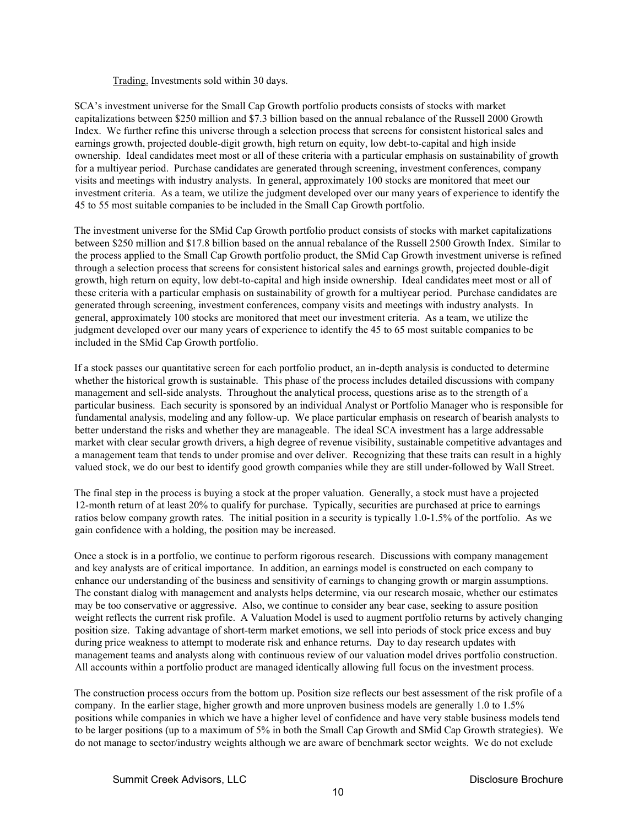## Trading. Investments sold within 30 days.

SCA's investment universe for the Small Cap Growth portfolio products consists of stocks with market capitalizations between \$250 million and \$7.3 billion based on the annual rebalance of the Russell 2000 Growth Index. We further refine this universe through a selection process that screens for consistent historical sales and earnings growth, projected double-digit growth, high return on equity, low debt-to-capital and high inside ownership. Ideal candidates meet most or all of these criteria with a particular emphasis on sustainability of growth for a multiyear period. Purchase candidates are generated through screening, investment conferences, company visits and meetings with industry analysts. In general, approximately 100 stocks are monitored that meet our investment criteria. As a team, we utilize the judgment developed over our many years of experience to identify the 45 to 55 most suitable companies to be included in the Small Cap Growth portfolio.

The investment universe for the SMid Cap Growth portfolio product consists of stocks with market capitalizations between \$250 million and \$17.8 billion based on the annual rebalance of the Russell 2500 Growth Index. Similar to the process applied to the Small Cap Growth portfolio product, the SMid Cap Growth investment universe is refined through a selection process that screens for consistent historical sales and earnings growth, projected double-digit growth, high return on equity, low debt-to-capital and high inside ownership. Ideal candidates meet most or all of these criteria with a particular emphasis on sustainability of growth for a multiyear period. Purchase candidates are generated through screening, investment conferences, company visits and meetings with industry analysts. In general, approximately 100 stocks are monitored that meet our investment criteria. As a team, we utilize the judgment developed over our many years of experience to identify the 45 to 65 most suitable companies to be included in the SMid Cap Growth portfolio.

If a stock passes our quantitative screen for each portfolio product, an in-depth analysis is conducted to determine whether the historical growth is sustainable. This phase of the process includes detailed discussions with company management and sell-side analysts. Throughout the analytical process, questions arise as to the strength of a particular business. Each security is sponsored by an individual Analyst or Portfolio Manager who is responsible for fundamental analysis, modeling and any follow-up. We place particular emphasis on research of bearish analysts to better understand the risks and whether they are manageable. The ideal SCA investment has a large addressable market with clear secular growth drivers, a high degree of revenue visibility, sustainable competitive advantages and a management team that tends to under promise and over deliver. Recognizing that these traits can result in a highly valued stock, we do our best to identify good growth companies while they are still under-followed by Wall Street.

The final step in the process is buying a stock at the proper valuation. Generally, a stock must have a projected 12-month return of at least 20% to qualify for purchase. Typically, securities are purchased at price to earnings ratios below company growth rates. The initial position in a security is typically 1.0-1.5% of the portfolio. As we gain confidence with a holding, the position may be increased.

Once a stock is in a portfolio, we continue to perform rigorous research. Discussions with company management and key analysts are of critical importance. In addition, an earnings model is constructed on each company to enhance our understanding of the business and sensitivity of earnings to changing growth or margin assumptions. The constant dialog with management and analysts helps determine, via our research mosaic, whether our estimates may be too conservative or aggressive. Also, we continue to consider any bear case, seeking to assure position weight reflects the current risk profile. A Valuation Model is used to augment portfolio returns by actively changing position size. Taking advantage of short-term market emotions, we sell into periods of stock price excess and buy during price weakness to attempt to moderate risk and enhance returns. Day to day research updates with management teams and analysts along with continuous review of our valuation model drives portfolio construction. All accounts within a portfolio product are managed identically allowing full focus on the investment process.

The construction process occurs from the bottom up. Position size reflects our best assessment of the risk profile of a company. In the earlier stage, higher growth and more unproven business models are generally 1.0 to 1.5% positions while companies in which we have a higher level of confidence and have very stable business models tend to be larger positions (up to a maximum of 5% in both the Small Cap Growth and SMid Cap Growth strategies). We do not manage to sector/industry weights although we are aware of benchmark sector weights. We do not exclude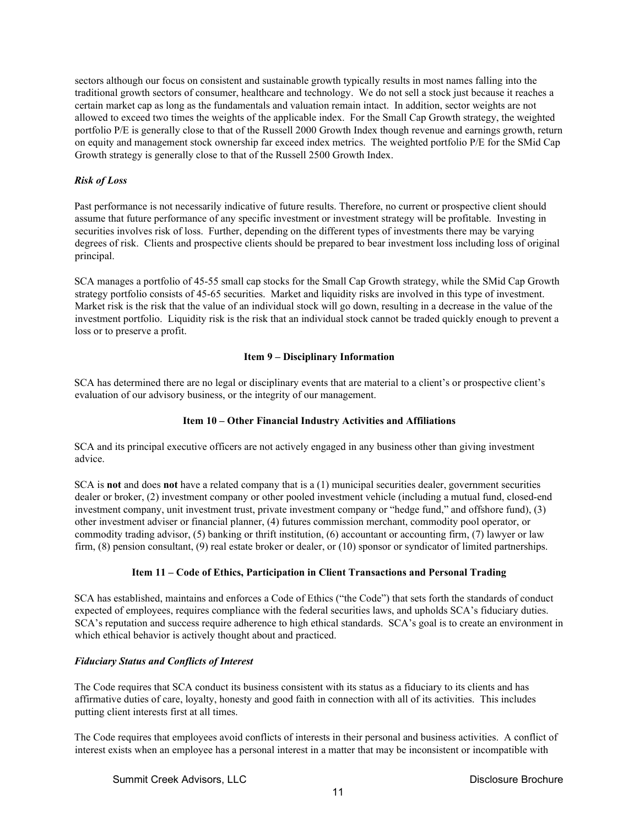sectors although our focus on consistent and sustainable growth typically results in most names falling into the traditional growth sectors of consumer, healthcare and technology. We do not sell a stock just because it reaches a certain market cap as long as the fundamentals and valuation remain intact. In addition, sector weights are not allowed to exceed two times the weights of the applicable index. For the Small Cap Growth strategy, the weighted portfolio P/E is generally close to that of the Russell 2000 Growth Index though revenue and earnings growth, return on equity and management stock ownership far exceed index metrics. The weighted portfolio P/E for the SMid Cap Growth strategy is generally close to that of the Russell 2500 Growth Index.

# <span id="page-10-0"></span>*Risk of Loss*

Past performance is not necessarily indicative of future results. Therefore, no current or prospective client should assume that future performance of any specific investment or investment strategy will be profitable. Investing in securities involves risk of loss. Further, depending on the different types of investments there may be varying degrees of risk. Clients and prospective clients should be prepared to bear investment loss including loss of original principal.

SCA manages a portfolio of 45-55 small cap stocks for the Small Cap Growth strategy, while the SMid Cap Growth strategy portfolio consists of 45-65 securities. Market and liquidity risks are involved in this type of investment. Market risk is the risk that the value of an individual stock will go down, resulting in a decrease in the value of the investment portfolio. Liquidity risk is the risk that an individual stock cannot be traded quickly enough to prevent a loss or to preserve a profit.

# **Item 9 – Disciplinary Information**

<span id="page-10-1"></span>SCA has determined there are no legal or disciplinary events that are material to a client's or prospective client's evaluation of our advisory business, or the integrity of our management.

# **Item 10 – Other Financial Industry Activities and Affiliations**

<span id="page-10-2"></span>SCA and its principal executive officers are not actively engaged in any business other than giving investment advice.

SCA is **not** and does **not** have a related company that is a (1) municipal securities dealer, government securities dealer or broker, (2) investment company or other pooled investment vehicle (including a mutual fund, closed-end investment company, unit investment trust, private investment company or "hedge fund," and offshore fund), (3) other investment adviser or financial planner, (4) futures commission merchant, commodity pool operator, or commodity trading advisor, (5) banking or thrift institution, (6) accountant or accounting firm, (7) lawyer or law firm, (8) pension consultant, (9) real estate broker or dealer, or (10) sponsor or syndicator of limited partnerships.

# **Item 11 – Code of Ethics, Participation in Client Transactions and Personal Trading**

<span id="page-10-3"></span>SCA has established, maintains and enforces a Code of Ethics ("the Code") that sets forth the standards of conduct expected of employees, requires compliance with the federal securities laws, and upholds SCA's fiduciary duties. SCA's reputation and success require adherence to high ethical standards. SCA's goal is to create an environment in which ethical behavior is actively thought about and practiced.

# <span id="page-10-4"></span>*Fiduciary Status and Conflicts of Interest*

The Code requires that SCA conduct its business consistent with its status as a fiduciary to its clients and has affirmative duties of care, loyalty, honesty and good faith in connection with all of its activities. This includes putting client interests first at all times.

The Code requires that employees avoid conflicts of interests in their personal and business activities. A conflict of interest exists when an employee has a personal interest in a matter that may be inconsistent or incompatible with

Summit Creek Advisors, LLC and the Creek Advisors, LLC and the Creek Advisors, LLC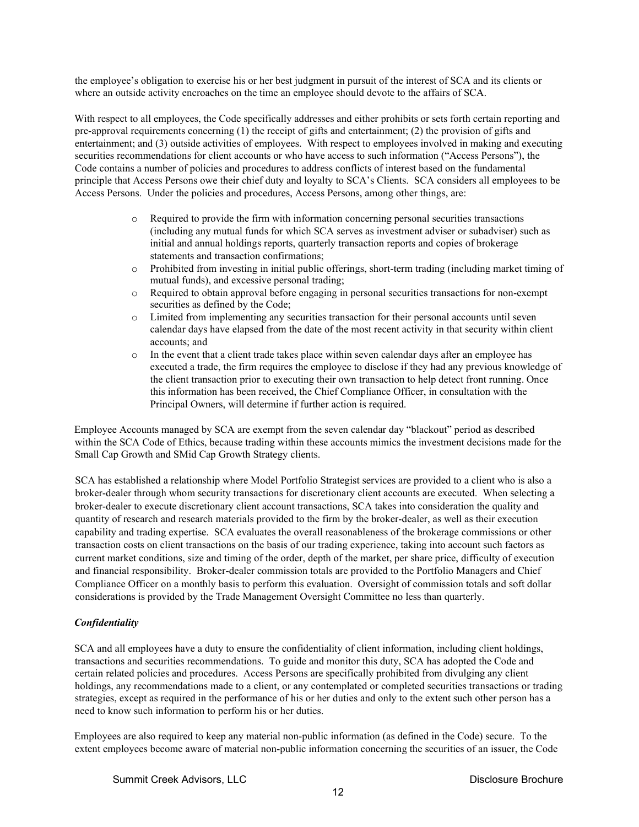the employee's obligation to exercise his or her best judgment in pursuit of the interest of SCA and its clients or where an outside activity encroaches on the time an employee should devote to the affairs of SCA.

With respect to all employees, the Code specifically addresses and either prohibits or sets forth certain reporting and pre-approval requirements concerning (1) the receipt of gifts and entertainment; (2) the provision of gifts and entertainment; and (3) outside activities of employees. With respect to employees involved in making and executing securities recommendations for client accounts or who have access to such information ("Access Persons"), the Code contains a number of policies and procedures to address conflicts of interest based on the fundamental principle that Access Persons owe their chief duty and loyalty to SCA's Clients. SCA considers all employees to be Access Persons. Under the policies and procedures, Access Persons, among other things, are:

- o Required to provide the firm with information concerning personal securities transactions (including any mutual funds for which SCA serves as investment adviser or subadviser) such as initial and annual holdings reports, quarterly transaction reports and copies of brokerage statements and transaction confirmations;
- o Prohibited from investing in initial public offerings, short-term trading (including market timing of mutual funds), and excessive personal trading;
- o Required to obtain approval before engaging in personal securities transactions for non-exempt securities as defined by the Code;
- o Limited from implementing any securities transaction for their personal accounts until seven calendar days have elapsed from the date of the most recent activity in that security within client accounts; and
- o In the event that a client trade takes place within seven calendar days after an employee has executed a trade, the firm requires the employee to disclose if they had any previous knowledge of the client transaction prior to executing their own transaction to help detect front running. Once this information has been received, the Chief Compliance Officer, in consultation with the Principal Owners, will determine if further action is required.

Employee Accounts managed by SCA are exempt from the seven calendar day "blackout" period as described within the SCA Code of Ethics, because trading within these accounts mimics the investment decisions made for the Small Cap Growth and SMid Cap Growth Strategy clients.

SCA has established a relationship where Model Portfolio Strategist services are provided to a client who is also a broker-dealer through whom security transactions for discretionary client accounts are executed. When selecting a broker-dealer to execute discretionary client account transactions, SCA takes into consideration the quality and quantity of research and research materials provided to the firm by the broker-dealer, as well as their execution capability and trading expertise. SCA evaluates the overall reasonableness of the brokerage commissions or other transaction costs on client transactions on the basis of our trading experience, taking into account such factors as current market conditions, size and timing of the order, depth of the market, per share price, difficulty of execution and financial responsibility. Broker-dealer commission totals are provided to the Portfolio Managers and Chief Compliance Officer on a monthly basis to perform this evaluation. Oversight of commission totals and soft dollar considerations is provided by the Trade Management Oversight Committee no less than quarterly.

# <span id="page-11-0"></span>*Confidentiality*

SCA and all employees have a duty to ensure the confidentiality of client information, including client holdings, transactions and securities recommendations. To guide and monitor this duty, SCA has adopted the Code and certain related policies and procedures. Access Persons are specifically prohibited from divulging any client holdings, any recommendations made to a client, or any contemplated or completed securities transactions or trading strategies, except as required in the performance of his or her duties and only to the extent such other person has a need to know such information to perform his or her duties.

Employees are also required to keep any material non-public information (as defined in the Code) secure. To the extent employees become aware of material non-public information concerning the securities of an issuer, the Code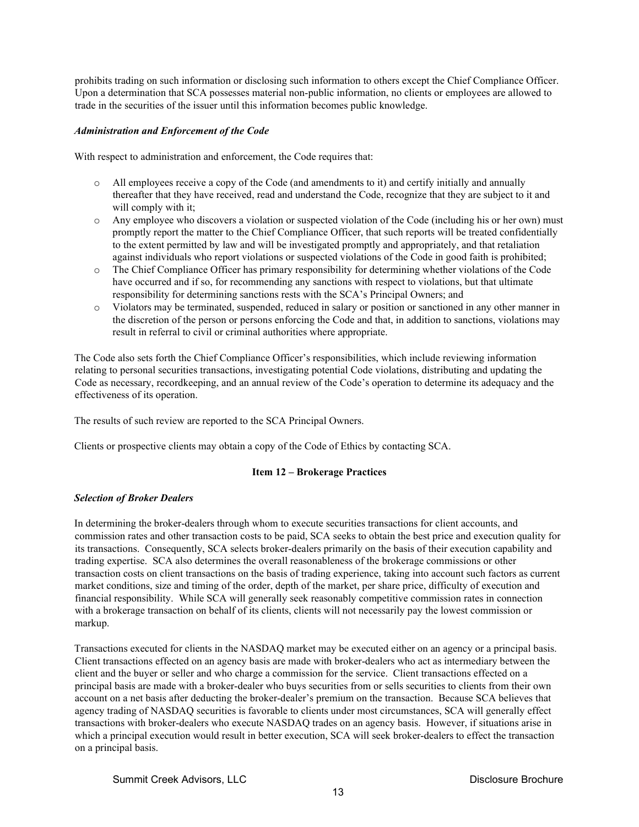prohibits trading on such information or disclosing such information to others except the Chief Compliance Officer. Upon a determination that SCA possesses material non-public information, no clients or employees are allowed to trade in the securities of the issuer until this information becomes public knowledge.

## <span id="page-12-0"></span>*Administration and Enforcement of the Code*

With respect to administration and enforcement, the Code requires that:

- $\circ$  All employees receive a copy of the Code (and amendments to it) and certify initially and annually thereafter that they have received, read and understand the Code, recognize that they are subject to it and will comply with it;
- o Any employee who discovers a violation or suspected violation of the Code (including his or her own) must promptly report the matter to the Chief Compliance Officer, that such reports will be treated confidentially to the extent permitted by law and will be investigated promptly and appropriately, and that retaliation against individuals who report violations or suspected violations of the Code in good faith is prohibited;
- o The Chief Compliance Officer has primary responsibility for determining whether violations of the Code have occurred and if so, for recommending any sanctions with respect to violations, but that ultimate responsibility for determining sanctions rests with the SCA's Principal Owners; and
- o Violators may be terminated, suspended, reduced in salary or position or sanctioned in any other manner in the discretion of the person or persons enforcing the Code and that, in addition to sanctions, violations may result in referral to civil or criminal authorities where appropriate.

The Code also sets forth the Chief Compliance Officer's responsibilities, which include reviewing information relating to personal securities transactions, investigating potential Code violations, distributing and updating the Code as necessary, recordkeeping, and an annual review of the Code's operation to determine its adequacy and the effectiveness of its operation.

The results of such review are reported to the SCA Principal Owners.

<span id="page-12-1"></span>Clients or prospective clients may obtain a copy of the Code of Ethics by contacting SCA.

# **Item 12 – Brokerage Practices**

# <span id="page-12-2"></span>*Selection of Broker Dealers*

In determining the broker-dealers through whom to execute securities transactions for client accounts, and commission rates and other transaction costs to be paid, SCA seeks to obtain the best price and execution quality for its transactions. Consequently, SCA selects broker-dealers primarily on the basis of their execution capability and trading expertise. SCA also determines the overall reasonableness of the brokerage commissions or other transaction costs on client transactions on the basis of trading experience, taking into account such factors as current market conditions, size and timing of the order, depth of the market, per share price, difficulty of execution and financial responsibility. While SCA will generally seek reasonably competitive commission rates in connection with a brokerage transaction on behalf of its clients, clients will not necessarily pay the lowest commission or markup.

Transactions executed for clients in the NASDAQ market may be executed either on an agency or a principal basis. Client transactions effected on an agency basis are made with broker-dealers who act as intermediary between the client and the buyer or seller and who charge a commission for the service. Client transactions effected on a principal basis are made with a broker-dealer who buys securities from or sells securities to clients from their own account on a net basis after deducting the broker-dealer's premium on the transaction. Because SCA believes that agency trading of NASDAQ securities is favorable to clients under most circumstances, SCA will generally effect transactions with broker-dealers who execute NASDAQ trades on an agency basis. However, if situations arise in which a principal execution would result in better execution, SCA will seek broker-dealers to effect the transaction on a principal basis.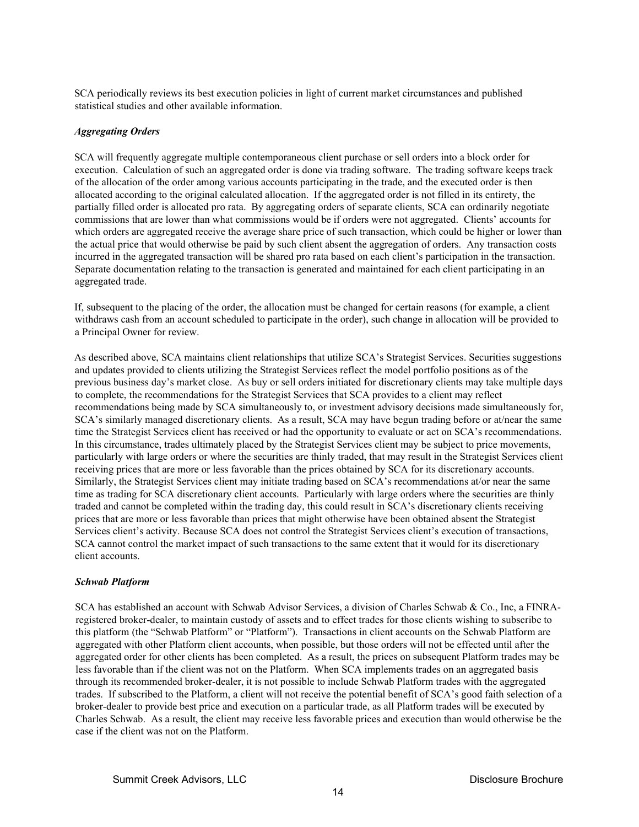SCA periodically reviews its best execution policies in light of current market circumstances and published statistical studies and other available information.

## <span id="page-13-0"></span>*Aggregating Orders*

SCA will frequently aggregate multiple contemporaneous client purchase or sell orders into a block order for execution. Calculation of such an aggregated order is done via trading software. The trading software keeps track of the allocation of the order among various accounts participating in the trade, and the executed order is then allocated according to the original calculated allocation. If the aggregated order is not filled in its entirety, the partially filled order is allocated pro rata. By aggregating orders of separate clients, SCA can ordinarily negotiate commissions that are lower than what commissions would be if orders were not aggregated. Clients' accounts for which orders are aggregated receive the average share price of such transaction, which could be higher or lower than the actual price that would otherwise be paid by such client absent the aggregation of orders. Any transaction costs incurred in the aggregated transaction will be shared pro rata based on each client's participation in the transaction. Separate documentation relating to the transaction is generated and maintained for each client participating in an aggregated trade.

If, subsequent to the placing of the order, the allocation must be changed for certain reasons (for example, a client withdraws cash from an account scheduled to participate in the order), such change in allocation will be provided to a Principal Owner for review.

As described above, SCA maintains client relationships that utilize SCA's Strategist Services. Securities suggestions and updates provided to clients utilizing the Strategist Services reflect the model portfolio positions as of the previous business day's market close. As buy or sell orders initiated for discretionary clients may take multiple days to complete, the recommendations for the Strategist Services that SCA provides to a client may reflect recommendations being made by SCA simultaneously to, or investment advisory decisions made simultaneously for, SCA's similarly managed discretionary clients. As a result, SCA may have begun trading before or at/near the same time the Strategist Services client has received or had the opportunity to evaluate or act on SCA's recommendations. In this circumstance, trades ultimately placed by the Strategist Services client may be subject to price movements, particularly with large orders or where the securities are thinly traded, that may result in the Strategist Services client receiving prices that are more or less favorable than the prices obtained by SCA for its discretionary accounts. Similarly, the Strategist Services client may initiate trading based on SCA's recommendations at/or near the same time as trading for SCA discretionary client accounts. Particularly with large orders where the securities are thinly traded and cannot be completed within the trading day, this could result in SCA's discretionary clients receiving prices that are more or less favorable than prices that might otherwise have been obtained absent the Strategist Services client's activity. Because SCA does not control the Strategist Services client's execution of transactions, SCA cannot control the market impact of such transactions to the same extent that it would for its discretionary client accounts.

## *Schwab Platform*

SCA has established an account with Schwab Advisor Services, a division of Charles Schwab & Co., Inc, a FINRAregistered broker-dealer, to maintain custody of assets and to effect trades for those clients wishing to subscribe to this platform (the "Schwab Platform" or "Platform"). Transactions in client accounts on the Schwab Platform are aggregated with other Platform client accounts, when possible, but those orders will not be effected until after the aggregated order for other clients has been completed. As a result, the prices on subsequent Platform trades may be less favorable than if the client was not on the Platform. When SCA implements trades on an aggregated basis through its recommended broker-dealer, it is not possible to include Schwab Platform trades with the aggregated trades. If subscribed to the Platform, a client will not receive the potential benefit of SCA's good faith selection of a broker-dealer to provide best price and execution on a particular trade, as all Platform trades will be executed by Charles Schwab. As a result, the client may receive less favorable prices and execution than would otherwise be the case if the client was not on the Platform.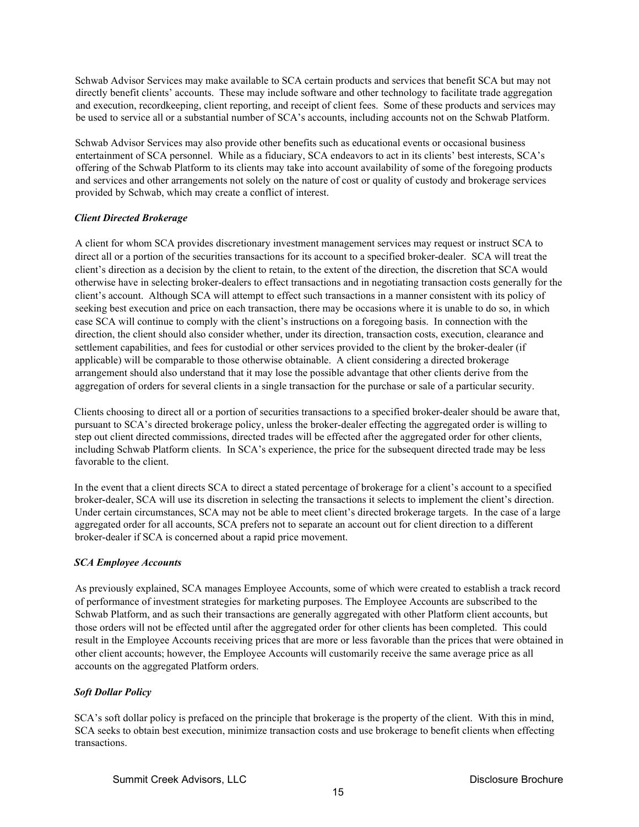Schwab Advisor Services may make available to SCA certain products and services that benefit SCA but may not directly benefit clients' accounts. These may include software and other technology to facilitate trade aggregation and execution, recordkeeping, client reporting, and receipt of client fees. Some of these products and services may be used to service all or a substantial number of SCA's accounts, including accounts not on the Schwab Platform.

Schwab Advisor Services may also provide other benefits such as educational events or occasional business entertainment of SCA personnel. While as a fiduciary, SCA endeavors to act in its clients' best interests, SCA's offering of the Schwab Platform to its clients may take into account availability of some of the foregoing products and services and other arrangements not solely on the nature of cost or quality of custody and brokerage services provided by Schwab, which may create a conflict of interest.

# <span id="page-14-0"></span>*Client Directed Brokerage*

A client for whom SCA provides discretionary investment management services may request or instruct SCA to direct all or a portion of the securities transactions for its account to a specified broker-dealer. SCA will treat the client's direction as a decision by the client to retain, to the extent of the direction, the discretion that SCA would otherwise have in selecting broker-dealers to effect transactions and in negotiating transaction costs generally for the client's account. Although SCA will attempt to effect such transactions in a manner consistent with its policy of seeking best execution and price on each transaction, there may be occasions where it is unable to do so, in which case SCA will continue to comply with the client's instructions on a foregoing basis. In connection with the direction, the client should also consider whether, under its direction, transaction costs, execution, clearance and settlement capabilities, and fees for custodial or other services provided to the client by the broker-dealer (if applicable) will be comparable to those otherwise obtainable. A client considering a directed brokerage arrangement should also understand that it may lose the possible advantage that other clients derive from the aggregation of orders for several clients in a single transaction for the purchase or sale of a particular security.

Clients choosing to direct all or a portion of securities transactions to a specified broker-dealer should be aware that, pursuant to SCA's directed brokerage policy, unless the broker-dealer effecting the aggregated order is willing to step out client directed commissions, directed trades will be effected after the aggregated order for other clients, including Schwab Platform clients. In SCA's experience, the price for the subsequent directed trade may be less favorable to the client.

In the event that a client directs SCA to direct a stated percentage of brokerage for a client's account to a specified broker-dealer, SCA will use its discretion in selecting the transactions it selects to implement the client's direction. Under certain circumstances, SCA may not be able to meet client's directed brokerage targets. In the case of a large aggregated order for all accounts, SCA prefers not to separate an account out for client direction to a different broker-dealer if SCA is concerned about a rapid price movement.

# *SCA Employee Accounts*

As previously explained, SCA manages Employee Accounts, some of which were created to establish a track record of performance of investment strategies for marketing purposes. The Employee Accounts are subscribed to the Schwab Platform, and as such their transactions are generally aggregated with other Platform client accounts, but those orders will not be effected until after the aggregated order for other clients has been completed. This could result in the Employee Accounts receiving prices that are more or less favorable than the prices that were obtained in other client accounts; however, the Employee Accounts will customarily receive the same average price as all accounts on the aggregated Platform orders.

# <span id="page-14-1"></span>*Soft Dollar Policy*

SCA's soft dollar policy is prefaced on the principle that brokerage is the property of the client. With this in mind, SCA seeks to obtain best execution, minimize transaction costs and use brokerage to benefit clients when effecting transactions.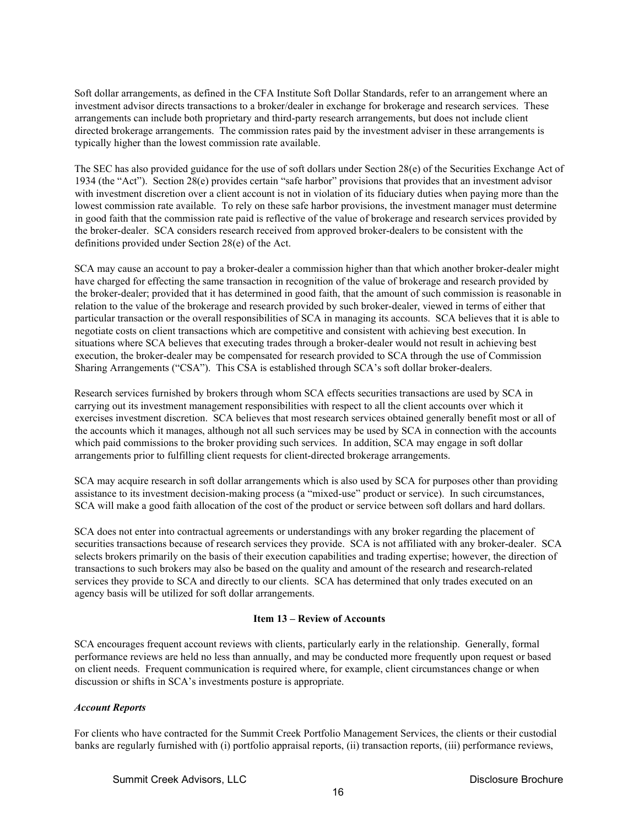Soft dollar arrangements, as defined in the CFA Institute Soft Dollar Standards, refer to an arrangement where an investment advisor directs transactions to a broker/dealer in exchange for brokerage and research services. These arrangements can include both proprietary and third-party research arrangements, but does not include client directed brokerage arrangements. The commission rates paid by the investment adviser in these arrangements is typically higher than the lowest commission rate available.

The SEC has also provided guidance for the use of soft dollars under Section 28(e) of the Securities Exchange Act of 1934 (the "Act"). Section 28(e) provides certain "safe harbor" provisions that provides that an investment advisor with investment discretion over a client account is not in violation of its fiduciary duties when paying more than the lowest commission rate available. To rely on these safe harbor provisions, the investment manager must determine in good faith that the commission rate paid is reflective of the value of brokerage and research services provided by the broker-dealer. SCA considers research received from approved broker-dealers to be consistent with the definitions provided under Section 28(e) of the Act.

SCA may cause an account to pay a broker-dealer a commission higher than that which another broker-dealer might have charged for effecting the same transaction in recognition of the value of brokerage and research provided by the broker-dealer; provided that it has determined in good faith, that the amount of such commission is reasonable in relation to the value of the brokerage and research provided by such broker-dealer, viewed in terms of either that particular transaction or the overall responsibilities of SCA in managing its accounts. SCA believes that it is able to negotiate costs on client transactions which are competitive and consistent with achieving best execution. In situations where SCA believes that executing trades through a broker-dealer would not result in achieving best execution, the broker-dealer may be compensated for research provided to SCA through the use of Commission Sharing Arrangements ("CSA"). This CSA is established through SCA's soft dollar broker-dealers.

Research services furnished by brokers through whom SCA effects securities transactions are used by SCA in carrying out its investment management responsibilities with respect to all the client accounts over which it exercises investment discretion. SCA believes that most research services obtained generally benefit most or all of the accounts which it manages, although not all such services may be used by SCA in connection with the accounts which paid commissions to the broker providing such services. In addition, SCA may engage in soft dollar arrangements prior to fulfilling client requests for client-directed brokerage arrangements.

SCA may acquire research in soft dollar arrangements which is also used by SCA for purposes other than providing assistance to its investment decision-making process (a "mixed-use" product or service). In such circumstances, SCA will make a good faith allocation of the cost of the product or service between soft dollars and hard dollars.

SCA does not enter into contractual agreements or understandings with any broker regarding the placement of securities transactions because of research services they provide. SCA is not affiliated with any broker-dealer. SCA selects brokers primarily on the basis of their execution capabilities and trading expertise; however, the direction of transactions to such brokers may also be based on the quality and amount of the research and research-related services they provide to SCA and directly to our clients. SCA has determined that only trades executed on an agency basis will be utilized for soft dollar arrangements.

# **Item 13 – Review of Accounts**

<span id="page-15-0"></span>SCA encourages frequent account reviews with clients, particularly early in the relationship. Generally, formal performance reviews are held no less than annually, and may be conducted more frequently upon request or based on client needs. Frequent communication is required where, for example, client circumstances change or when discussion or shifts in SCA's investments posture is appropriate.

# <span id="page-15-1"></span>*Account Reports*

For clients who have contracted for the Summit Creek Portfolio Management Services, the clients or their custodial banks are regularly furnished with (i) portfolio appraisal reports, (ii) transaction reports, (iii) performance reviews,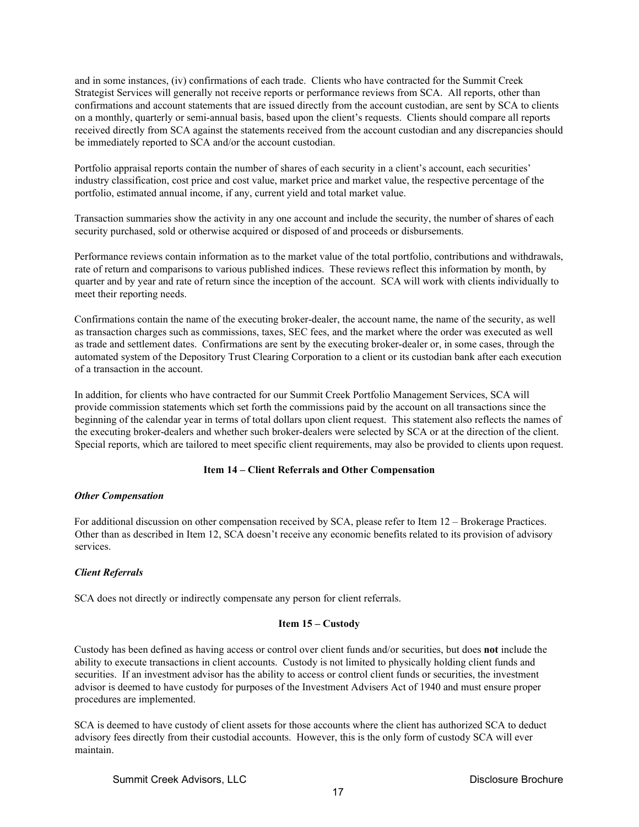and in some instances, (iv) confirmations of each trade. Clients who have contracted for the Summit Creek Strategist Services will generally not receive reports or performance reviews from SCA. All reports, other than confirmations and account statements that are issued directly from the account custodian, are sent by SCA to clients on a monthly, quarterly or semi-annual basis, based upon the client's requests. Clients should compare all reports received directly from SCA against the statements received from the account custodian and any discrepancies should be immediately reported to SCA and/or the account custodian.

Portfolio appraisal reports contain the number of shares of each security in a client's account, each securities' industry classification, cost price and cost value, market price and market value, the respective percentage of the portfolio, estimated annual income, if any, current yield and total market value.

Transaction summaries show the activity in any one account and include the security, the number of shares of each security purchased, sold or otherwise acquired or disposed of and proceeds or disbursements.

Performance reviews contain information as to the market value of the total portfolio, contributions and withdrawals, rate of return and comparisons to various published indices. These reviews reflect this information by month, by quarter and by year and rate of return since the inception of the account. SCA will work with clients individually to meet their reporting needs.

Confirmations contain the name of the executing broker-dealer, the account name, the name of the security, as well as transaction charges such as commissions, taxes, SEC fees, and the market where the order was executed as well as trade and settlement dates. Confirmations are sent by the executing broker-dealer or, in some cases, through the automated system of the Depository Trust Clearing Corporation to a client or its custodian bank after each execution of a transaction in the account.

In addition, for clients who have contracted for our Summit Creek Portfolio Management Services, SCA will provide commission statements which set forth the commissions paid by the account on all transactions since the beginning of the calendar year in terms of total dollars upon client request. This statement also reflects the names of the executing broker-dealers and whether such broker-dealers were selected by SCA or at the direction of the client. Special reports, which are tailored to meet specific client requirements, may also be provided to clients upon request.

# **Item 14 – Client Referrals and Other Compensation**

## <span id="page-16-1"></span><span id="page-16-0"></span>*Other Compensation*

For additional discussion on other compensation received by SCA, please refer to Item 12 – Brokerage Practices. Other than as described in Item 12, SCA doesn't receive any economic benefits related to its provision of advisory services.

# <span id="page-16-2"></span>*Client Referrals*

<span id="page-16-3"></span>SCA does not directly or indirectly compensate any person for client referrals.

# **Item 15 – Custody**

Custody has been defined as having access or control over client funds and/or securities, but does **not** include the ability to execute transactions in client accounts. Custody is not limited to physically holding client funds and securities. If an investment advisor has the ability to access or control client funds or securities, the investment advisor is deemed to have custody for purposes of the Investment Advisers Act of 1940 and must ensure proper procedures are implemented.

SCA is deemed to have custody of client assets for those accounts where the client has authorized SCA to deduct advisory fees directly from their custodial accounts. However, this is the only form of custody SCA will ever maintain.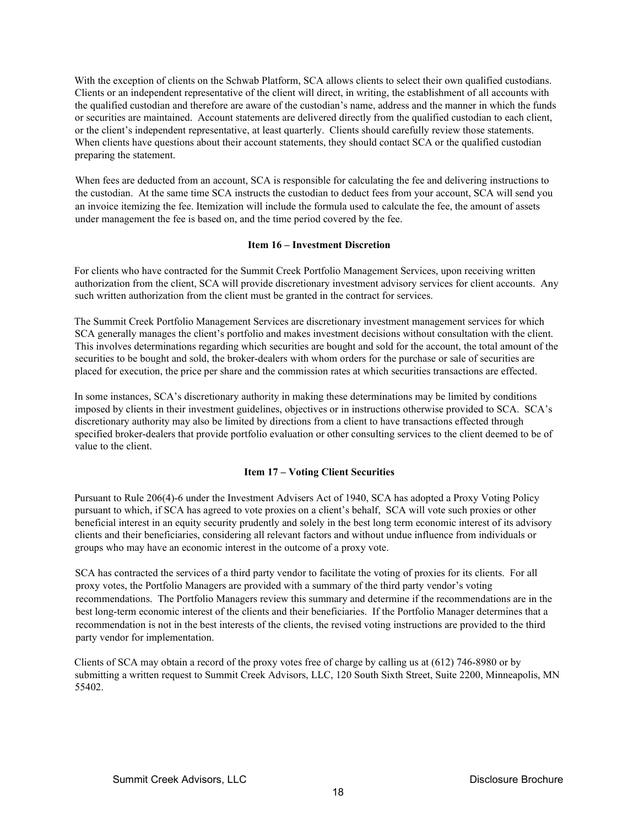With the exception of clients on the Schwab Platform, SCA allows clients to select their own qualified custodians. Clients or an independent representative of the client will direct, in writing, the establishment of all accounts with the qualified custodian and therefore are aware of the custodian's name, address and the manner in which the funds or securities are maintained. Account statements are delivered directly from the qualified custodian to each client, or the client's independent representative, at least quarterly. Clients should carefully review those statements. When clients have questions about their account statements, they should contact SCA or the qualified custodian preparing the statement.

When fees are deducted from an account, SCA is responsible for calculating the fee and delivering instructions to the custodian. At the same time SCA instructs the custodian to deduct fees from your account, SCA will send you an invoice itemizing the fee. Itemization will include the formula used to calculate the fee, the amount of assets under management the fee is based on, and the time period covered by the fee.

## **Item 16 – Investment Discretion**

<span id="page-17-0"></span>For clients who have contracted for the Summit Creek Portfolio Management Services, upon receiving written authorization from the client, SCA will provide discretionary investment advisory services for client accounts. Any such written authorization from the client must be granted in the contract for services.

The Summit Creek Portfolio Management Services are discretionary investment management services for which SCA generally manages the client's portfolio and makes investment decisions without consultation with the client. This involves determinations regarding which securities are bought and sold for the account, the total amount of the securities to be bought and sold, the broker-dealers with whom orders for the purchase or sale of securities are placed for execution, the price per share and the commission rates at which securities transactions are effected.

In some instances, SCA's discretionary authority in making these determinations may be limited by conditions imposed by clients in their investment guidelines, objectives or in instructions otherwise provided to SCA. SCA's discretionary authority may also be limited by directions from a client to have transactions effected through specified broker-dealers that provide portfolio evaluation or other consulting services to the client deemed to be of value to the client.

# **Item 17 – Voting Client Securities**

<span id="page-17-1"></span>Pursuant to Rule 206(4)-6 under the Investment Advisers Act of 1940, SCA has adopted a Proxy Voting Policy pursuant to which, if SCA has agreed to vote proxies on a client's behalf, SCA will vote such proxies or other beneficial interest in an equity security prudently and solely in the best long term economic interest of its advisory clients and their beneficiaries, considering all relevant factors and without undue influence from individuals or groups who may have an economic interest in the outcome of a proxy vote.

SCA has contracted the services of a third party vendor to facilitate the voting of proxies for its clients. For all proxy votes, the Portfolio Managers are provided with a summary of the third party vendor's voting recommendations. The Portfolio Managers review this summary and determine if the recommendations are in the best long-term economic interest of the clients and their beneficiaries. If the Portfolio Manager determines that a recommendation is not in the best interests of the clients, the revised voting instructions are provided to the third party vendor for implementation.

Clients of SCA may obtain a record of the proxy votes free of charge by calling us at (612) 746-8980 or by submitting a written request to Summit Creek Advisors, LLC, 120 South Sixth Street, Suite 2200, Minneapolis, MN 55402.